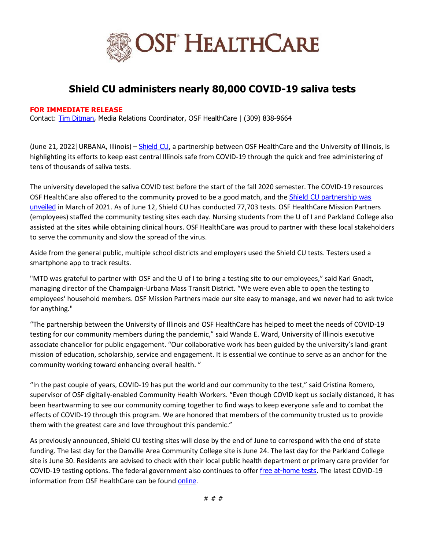

## **Shield CU administers nearly 80,000 COVID-19 saliva tests**

## **FOR IMMEDIATE RELEASE**

Contact: [Tim Ditman,](mailto:timothy.r.ditman@osfhealthcare.org) Media Relations Coordinator, OSF HealthCare | (309) 838-9664

(June 21, 2022 | URBANA, Illinois) – [Shield CU](https://www.osfhealthcare.org/c/shield-cu/), a partnership between OSF HealthCare and the University of Illinois, is highlighting its efforts to keep east central Illinois safe from COVID-19 through the quick and free administering of tens of thousands of saliva tests.

The university developed the saliva COVID test before the start of the fall 2020 semester. The COVID-19 resources OSF HealthCare also offered to the community proved to be a good match, and the **Shield CU partnership was** [unveiled](https://newsroom.osfhealthcare.org/introducing-shield-cu/) in March of 2021. As of June 12, Shield CU has conducted 77,703 tests. OSF HealthCare Mission Partners (employees) staffed the community testing sites each day. Nursing students from the U of I and Parkland College also assisted at the sites while obtaining clinical hours. OSF HealthCare was proud to partner with these local stakeholders to serve the community and slow the spread of the virus.

Aside from the general public, multiple school districts and employers used the Shield CU tests. Testers used a smartphone app to track results.

"MTD was grateful to partner with OSF and the U of I to bring a testing site to our employees," said Karl Gnadt, managing director of the Champaign-Urbana Mass Transit District. "We were even able to open the testing to employees' household members. OSF Mission Partners made our site easy to manage, and we never had to ask twice for anything."

"The partnership between the University of Illinois and OSF HealthCare has helped to meet the needs of COVID-19 testing for our community members during the pandemic," said Wanda E. Ward, University of Illinois executive associate chancellor for public engagement. "Our collaborative work has been guided by the university's land-grant mission of education, scholarship, service and engagement. It is essential we continue to serve as an anchor for the community working toward enhancing overall health. "

"In the past couple of years, COVID-19 has put the world and our community to the test," said Cristina Romero, supervisor of OSF digitally-enabled Community Health Workers. "Even though COVID kept us socially distanced, it has been heartwarming to see our community coming together to find ways to keep everyone safe and to combat the effects of COVID-19 through this program. We are honored that members of the community trusted us to provide them with the greatest care and love throughout this pandemic."

As previously announced, Shield CU testing sites will close by the end of June to correspond with the end of state funding. The last day for the Danville Area Community College site is June 24. The last day for the Parkland College site is June 30. Residents are advised to check with their local public health department or primary care provider for COVID-19 testing options. The federal government also continues to offer [free at-home tests](https://www.covid.gov/tests). The latest COVID-19 information from OSF HealthCare can be found [online](https://www.osfhealthcare.org/covid19/).